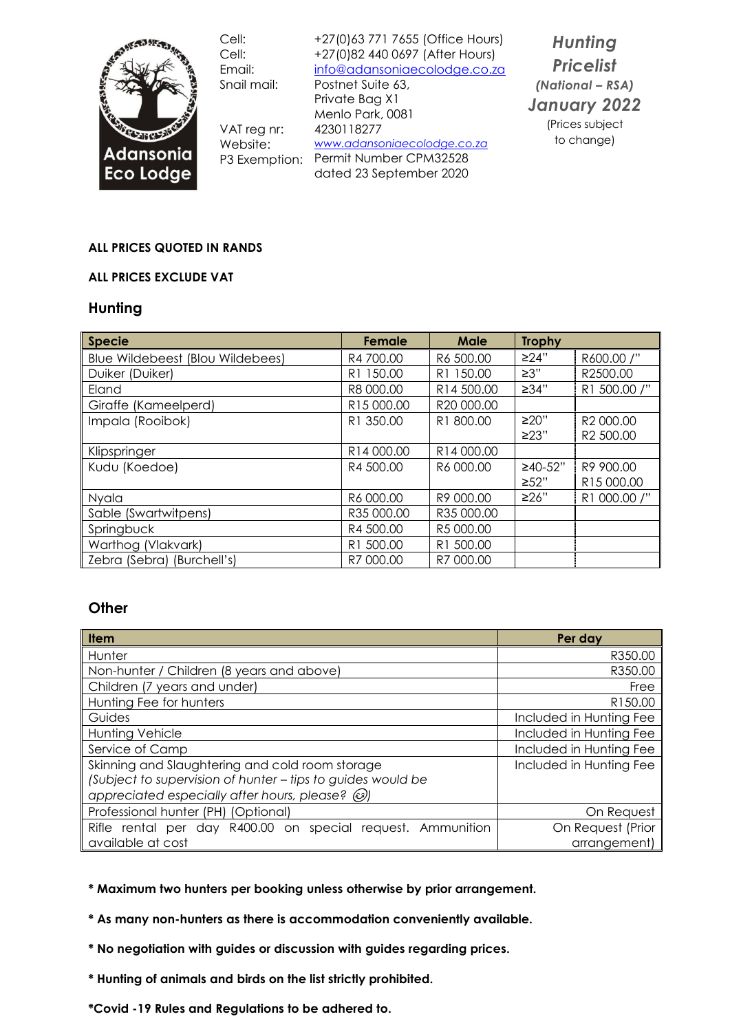

Cell: Cell: Email: Snail mail:

VAT reg nr: Website:

+27(0)63 771 7655 (Office Hours) +27(0)82 440 0697 (After Hours) [info@adansoniaecolodge.co.za](mailto:info@adansoniaecolodge.co.za) Postnet Suite 63,

P3 Exemption: Permit Number CPM32528 Private Bag X1 Menlo Park, 0081 4230118277 *[www.adansoniaecolodge.co.za](http://www.adansoniaecolodge.co.za/)* dated 23 September 2020

*Hunting Pricelist (National – RSA) January 2022* (Prices subject to change)

#### **ALL PRICES QUOTED IN RANDS**

#### **ALL PRICES EXCLUDE VAT**

#### **Hunting**

| <b>Specie</b>                    | Female     | Male                  | <b>Trophy</b> |              |
|----------------------------------|------------|-----------------------|---------------|--------------|
| Blue Wildebeest (Blou Wildebees) | R4 700.00  | R6 500.00             | ≥24"          | R600.00 /"   |
| Duiker (Duiker)                  | R1 150.00  | R <sub>1</sub> 150.00 | $\geq 3"$     | R2500.00     |
| Eland                            | R8 000.00  | R14 500.00            | ≥34"          | R1 500.00 /" |
| Giraffe (Kameelperd)             | R15 000.00 | R20 000.00            |               |              |
| Impala (Rooibok)                 | R1 350.00  | R1 800.00             | $\geq$ 20"    | R2 000.00    |
|                                  |            |                       | >23"          | R2 500.00    |
| Klipspringer                     | R14 000.00 | R14 000.00            |               |              |
| Kudu (Koedoe)                    | R4 500.00  | R6 000.00             | $≥40-52"$     | R9 900.00    |
|                                  |            |                       | >52"          | R15000.00    |
| Nyala                            | R6 000.00  | R9 000.00             | ≥26"          | R1 000.00 /" |
| Sable (Swartwitpens)             | R35 000.00 | R35 000.00            |               |              |
| Springbuck                       | R4 500.00  | R5 000.00             |               |              |
| Warthog (Vlakvark)               | R1 500.00  | R1 500.00             |               |              |
| Zebra (Sebra) (Burchell's)       | R7 000.00  | R7 000.00             |               |              |

### **Other**

| <b>Item</b>                                                 | Per day                 |  |
|-------------------------------------------------------------|-------------------------|--|
| Hunter                                                      | R350.00                 |  |
| Non-hunter / Children (8 years and above)                   | R350.00                 |  |
| Children (7 years and under)                                | Free                    |  |
| Hunting Fee for hunters                                     | R150.00                 |  |
| Guides                                                      | Included in Hunting Fee |  |
| <b>Hunting Vehicle</b>                                      | Included in Hunting Fee |  |
| Service of Camp                                             | Included in Hunting Fee |  |
| Skinning and Slaughtering and cold room storage             | Included in Hunting Fee |  |
| (Subject to supervision of hunter - tips to guides would be |                         |  |
| appreciated especially after hours, please? $\circled{e}$   |                         |  |
| Professional hunter (PH) (Optional)                         | On Request              |  |
| Rifle rental per day R400.00 on special request. Ammunition | On Request (Prior       |  |
| available at cost                                           | arrangement)            |  |

**\* Maximum two hunters per booking unless otherwise by prior arrangement.**

- **\* As many non-hunters as there is accommodation conveniently available.**
- **\* No negotiation with guides or discussion with guides regarding prices.**
- **\* Hunting of animals and birds on the list strictly prohibited.**
- **\*Covid -19 Rules and Regulations to be adhered to.**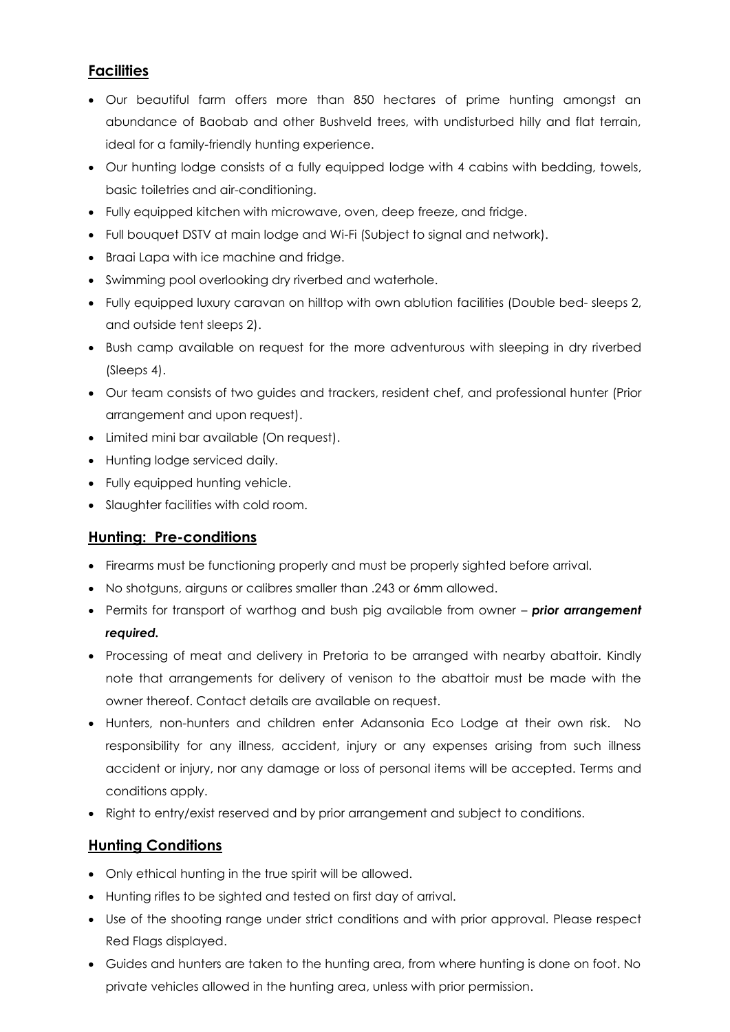## **Facilities**

- Our beautiful farm offers more than 850 hectares of prime hunting amongst an abundance of Baobab and other Bushveld trees, with undisturbed hilly and flat terrain, ideal for a family-friendly hunting experience.
- Our hunting lodge consists of a fully equipped lodge with 4 cabins with bedding, towels, basic toiletries and air-conditioning.
- Fully equipped kitchen with microwave, oven, deep freeze, and fridge.
- Full bouquet DSTV at main lodge and Wi-Fi (Subject to signal and network).
- Braai Lapa with ice machine and fridge.
- Swimming pool overlooking dry riverbed and waterhole.
- Fully equipped luxury caravan on hilltop with own ablution facilities (Double bed- sleeps 2, and outside tent sleeps 2).
- Bush camp available on request for the more adventurous with sleeping in dry riverbed (Sleeps 4).
- Our team consists of two guides and trackers, resident chef, and professional hunter (Prior arrangement and upon request).
- Limited mini bar available (On request).
- Hunting lodge serviced daily.
- Fully equipped hunting vehicle.
- Slaughter facilities with cold room.

## **Hunting: Pre-conditions**

- Firearms must be functioning properly and must be properly sighted before arrival.
- No shotguns, airguns or calibres smaller than .243 or 6mm allowed.
- Permits for transport of warthog and bush pig available from owner *prior arrangement required.*
- Processing of meat and delivery in Pretoria to be arranged with nearby abattoir. Kindly note that arrangements for delivery of venison to the abattoir must be made with the owner thereof. Contact details are available on request.
- Hunters, non-hunters and children enter Adansonia Eco Lodge at their own risk. No responsibility for any illness, accident, injury or any expenses arising from such illness accident or injury, nor any damage or loss of personal items will be accepted. Terms and conditions apply.
- Right to entry/exist reserved and by prior arrangement and subject to conditions.

## **Hunting Conditions**

- Only ethical hunting in the true spirit will be allowed.
- Hunting rifles to be sighted and tested on first day of arrival.
- Use of the shooting range under strict conditions and with prior approval. Please respect Red Flags displayed.
- Guides and hunters are taken to the hunting area, from where hunting is done on foot. No private vehicles allowed in the hunting area, unless with prior permission.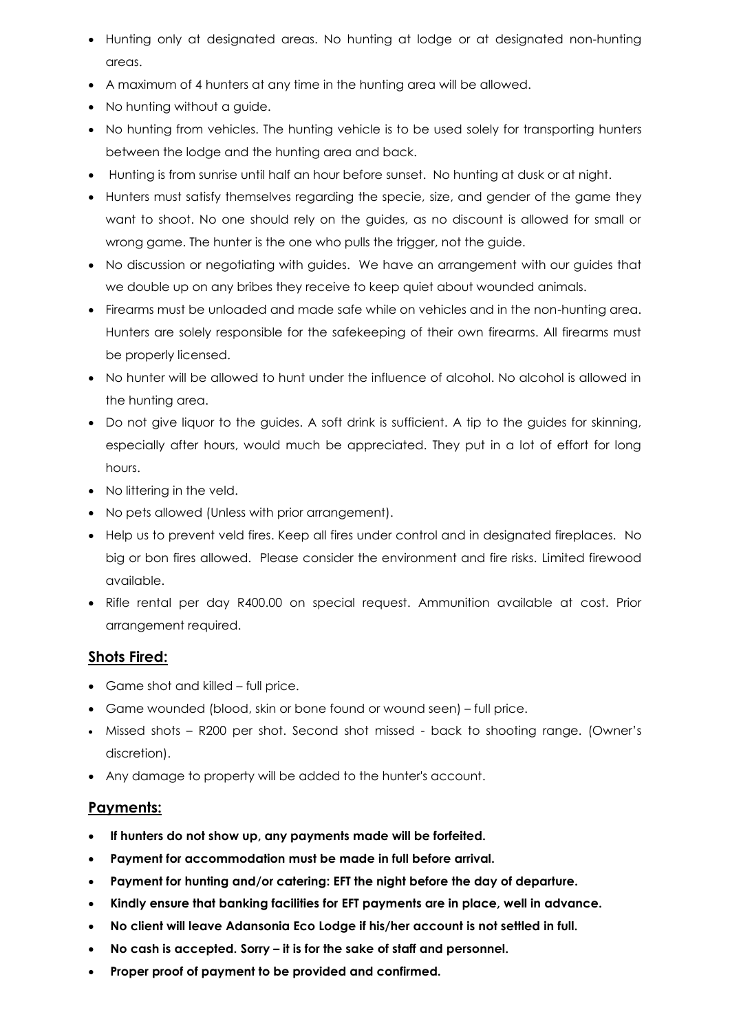- Hunting only at designated areas. No hunting at lodge or at designated non-hunting areas.
- A maximum of 4 hunters at any time in the hunting area will be allowed.
- No hunting without a guide.
- No hunting from vehicles. The hunting vehicle is to be used solely for transporting hunters between the lodge and the hunting area and back.
- Hunting is from sunrise until half an hour before sunset. No hunting at dusk or at night.
- Hunters must satisfy themselves regarding the specie, size, and gender of the game they want to shoot. No one should rely on the guides, as no discount is allowed for small or wrong game. The hunter is the one who pulls the trigger, not the guide.
- No discussion or negotiating with guides. We have an arrangement with our guides that we double up on any bribes they receive to keep quiet about wounded animals.
- Firearms must be unloaded and made safe while on vehicles and in the non-hunting area. Hunters are solely responsible for the safekeeping of their own firearms. All firearms must be properly licensed.
- No hunter will be allowed to hunt under the influence of alcohol. No alcohol is allowed in the hunting area.
- Do not give liquor to the guides. A soft drink is sufficient. A tip to the guides for skinning, especially after hours, would much be appreciated. They put in a lot of effort for long hours.
- No littering in the veld.
- No pets allowed (Unless with prior arrangement).
- Help us to prevent veld fires. Keep all fires under control and in designated fireplaces. No big or bon fires allowed. Please consider the environment and fire risks. Limited firewood available.
- Rifle rental per day R400.00 on special request. Ammunition available at cost. Prior arrangement required.

## **Shots Fired:**

- Game shot and killed full price.
- Game wounded (blood, skin or bone found or wound seen) full price.
- Missed shots R200 per shot. Second shot missed back to shooting range. (Owner's discretion).
- Any damage to property will be added to the hunter's account.

## **Payments:**

- **If hunters do not show up, any payments made will be forfeited.**
- **Payment for accommodation must be made in full before arrival.**
- **Payment for hunting and/or catering: EFT the night before the day of departure.**
- **Kindly ensure that banking facilities for EFT payments are in place, well in advance.**
- **No client will leave Adansonia Eco Lodge if his/her account is not settled in full.**
- **No cash is accepted. Sorry – it is for the sake of staff and personnel.**
- **Proper proof of payment to be provided and confirmed.**